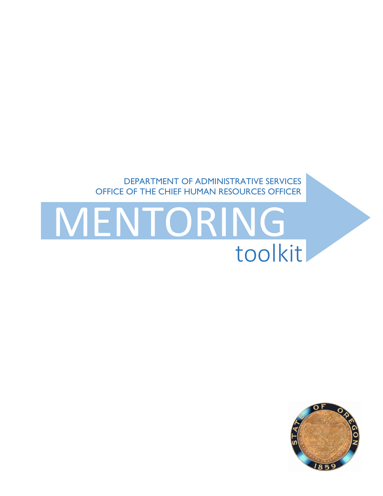

# MENTORING<br>toolkit

DEPARTMENT OF ADMINISTRATIVE SERVICES OFFICE OF THE CHIEF HUMAN RESOURCES OFFICER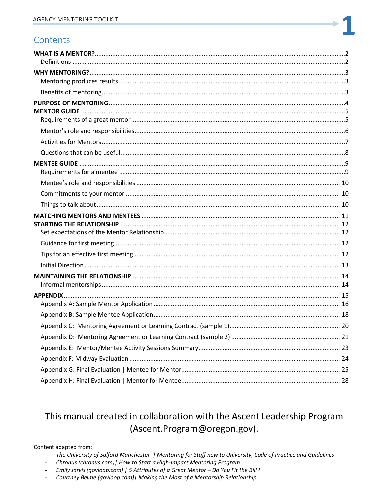# Contents

# This manual created in collaboration with the Ascent Leadership Program (Ascent.Program@oregon.gov).

#### Content adapted from:

- The University of Salford Manchester | Mentoring for Staff new to University, Code of Practice and Guidelines  $\mathbb{L}^{\mathbb{N}}$
- Chronus (chronus.com) | How to Start a High-Impact Mentoring Program
- Emily Jarvis (govloop.com) | 5 Attributes of a Great Mentor Do You Fit the Bill?
- Courtney Belme (govloop.com) | Making the Most of a Mentorship Relationship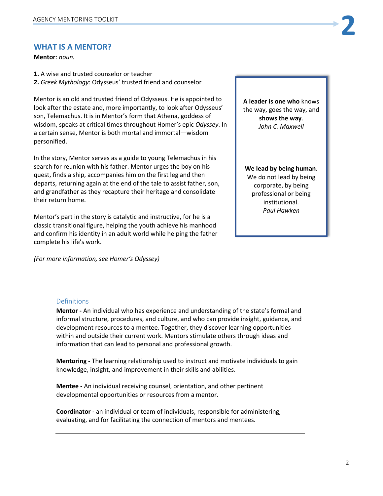#### <span id="page-2-0"></span>**WHAT IS A MENTOR?**

**Mentor**: *noun.*

**1.** A wise and trusted counselor or teacher **2.** *Greek Mythology*: Odysseus' trusted friend and counselor

Mentor is an old and trusted friend of Odysseus. He is appointed to look after the estate and, more importantly, to look after Odysseus' son, Telemachus. It is in Mentor's form that Athena, goddess of wisdom, speaks at critical times throughout Homer's epic *Odyssey*. In a certain sense, Mentor is both mortal and immortal—wisdom personified.

In the story, Mentor serves as a guide to young Telemachus in his search for reunion with his father. Mentor urges the boy on his quest, finds a ship, accompanies him on the first leg and then departs, returning again at the end of the tale to assist father, son, and grandfather as they recapture their heritage and consolidate their return home.

Mentor's part in the story is catalytic and instructive, for he is a classic transitional figure, helping the youth achieve his manhood and confirm his identity in an adult world while helping the father complete his life's work.

*(For more information, see Homer's Odyssey)*

**A leader is one who** knows the way, goes the way, and **shows the way**. *John C. Maxwell*

**We lead by being human**. We do not lead by being corporate, by being professional or being institutional. *Paul Hawken*

#### <span id="page-2-1"></span>Definitions

**Mentor -** An individual who has experience and understanding of the state's formal and informal structure, procedures, and culture, and who can provide insight, guidance, and development resources to a mentee. Together, they discover learning opportunities within and outside their current work. Mentors stimulate others through ideas and information that can lead to personal and professional growth.

**Mentoring -** The learning relationship used to instruct and motivate individuals to gain knowledge, insight, and improvement in their skills and abilities.

**Mentee -** An individual receiving counsel, orientation, and other pertinent developmental opportunities or resources from a mentor.

**Coordinator -** an individual or team of individuals, responsible for administering, evaluating, and for facilitating the connection of mentors and mentees.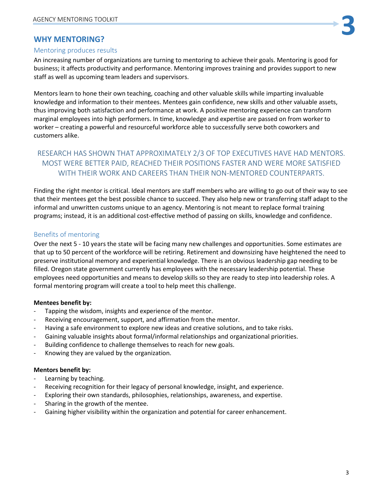# <span id="page-3-0"></span>**WHY MENTORING?**

#### <span id="page-3-1"></span>Mentoring produces results

An increasing number of organizations are turning to mentoring to achieve their goals. Mentoring is good for business; it affects productivity and performance. Mentoring improves training and provides support to new staff as well as upcoming team leaders and supervisors.

Mentors learn to hone their own teaching, coaching and other valuable skills while imparting invaluable knowledge and information to their mentees. Mentees gain confidence, new skills and other valuable assets, thus improving both satisfaction and performance at work. A positive mentoring experience can transform marginal employees into high performers. In time, knowledge and expertise are passed on from worker to worker – creating a powerful and resourceful workforce able to successfully serve both coworkers and customers alike.

# RESEARCH HAS SHOWN THAT APPROXIMATELY 2/3 OF TOP EXECUTIVES HAVE HAD MENTORS. MOST WERE BETTER PAID, REACHED THEIR POSITIONS FASTER AND WERE MORE SATISFIED WITH THEIR WORK AND CAREERS THAN THEIR NON-MENTORED COUNTERPARTS.

Finding the right mentor is critical. Ideal mentors are staff members who are willing to go out of their way to see that their mentees get the best possible chance to succeed. They also help new or transferring staff adapt to the informal and unwritten customs unique to an agency. Mentoring is not meant to replace formal training programs; instead, it is an additional cost-effective method of passing on skills, knowledge and confidence.

#### <span id="page-3-2"></span>Benefits of mentoring

Over the next 5 - 10 years the state will be facing many new challenges and opportunities. Some estimates are that up to 50 percent of the workforce will be retiring. Retirement and downsizing have heightened the need to preserve institutional memory and experiential knowledge. There is an obvious leadership gap needing to be filled. Oregon state government currently has employees with the necessary leadership potential. These employees need opportunities and means to develop skills so they are ready to step into leadership roles. A formal mentoring program will create a tool to help meet this challenge.

#### **Mentees benefit by:**

- Tapping the wisdom, insights and experience of the mentor.
- Receiving encouragement, support, and affirmation from the mentor.
- Having a safe environment to explore new ideas and creative solutions, and to take risks.
- Gaining valuable insights about formal/informal relationships and organizational priorities.
- Building confidence to challenge themselves to reach for new goals.
- Knowing they are valued by the organization.

#### **Mentors benefit by:**

- Learning by teaching.
- Receiving recognition for their legacy of personal knowledge, insight, and experience.
- Exploring their own standards, philosophies, relationships, awareness, and expertise.
- Sharing in the growth of the mentee.
- Gaining higher visibility within the organization and potential for career enhancement.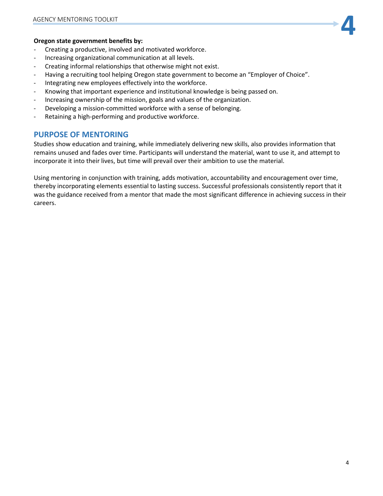#### **Oregon state government benefits by:**

- Creating a productive, involved and motivated workforce.
- Increasing organizational communication at all levels.
- Creating informal relationships that otherwise might not exist.
- Having a recruiting tool helping Oregon state government to become an "Employer of Choice".
- Integrating new employees effectively into the workforce.
- Knowing that important experience and institutional knowledge is being passed on.
- Increasing ownership of the mission, goals and values of the organization.
- Developing a mission-committed workforce with a sense of belonging.
- Retaining a high-performing and productive workforce.

#### <span id="page-4-0"></span>**PURPOSE OF MENTORING**

Studies show education and training, while immediately delivering new skills, also provides information that remains unused and fades over time. Participants will understand the material, want to use it, and attempt to incorporate it into their lives, but time will prevail over their ambition to use the material.

Using mentoring in conjunction with training, adds motivation, accountability and encouragement over time, thereby incorporating elements essential to lasting success. Successful professionals consistently report that it was the guidance received from a mentor that made the most significant difference in achieving success in their careers.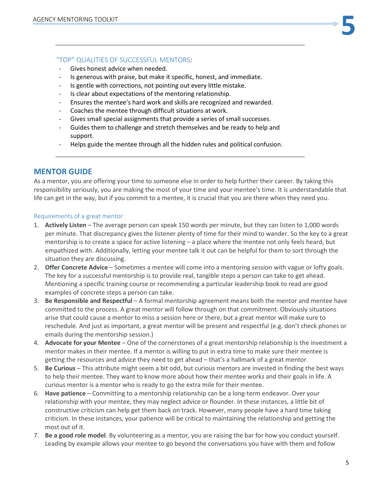#### "TOP" QUALITIES OF SUCCESSFUL MENTORS:

- Gives honest advice when needed.
- Is generous with praise, but make it specific, honest, and immediate.
- Is gentle with corrections, not pointing out every little mistake.
- Is clear about expectations of the mentoring relationship.
- Ensures the mentee's hard work and skills are recognized and rewarded.
- Coaches the mentee through difficult situations at work.
- Gives small special assignments that provide a series of small successes.
- Guides them to challenge and stretch themselves and be ready to help and support.
- Helps guide the mentee through all the hidden rules and political confusion.

# <span id="page-5-0"></span>**MENTOR GUIDE**

As a mentor, you are offering your time to someone else in order to help further their career. By taking this responsibility seriously, you are making the most of your time and your mentee's time. It is understandable that life can get in the way, but if you commit to a mentee, it is crucial that you are there when they need you.

#### <span id="page-5-1"></span>Requirements of a great mentor

- 1. **Actively Listen** The average person can speak 150 words per minute, but they can listen to 1,000 words per minute. That discrepancy gives the listener plenty of time for their mind to wander. So the key to a great mentorship is to create a space for active listening – a place where the mentee not only feels heard, but empathized with. Additionally, letting your mentee talk it out can be helpful for them to sort through the situation they are discussing.
- 2. **Offer Concrete Advice** Sometimes a mentee will come into a mentoring session with vague or lofty goals. The key for a successful mentorship is to provide real, tangible steps a person can take to get ahead. Mentioning a specific training course or recommending a particular leadership book to read are good examples of concrete steps a person can take.
- 3. **Be Responsible and Respectful** A formal mentorship agreement means both the mentor and mentee have committed to the process. A great mentor will follow through on that commitment. Obviously situations arise that could cause a mentor to miss a session here or there, but a great mentor will make sure to reschedule. And just as important, a great mentor will be present and respectful (e.g. don't check phones or emails during the mentorship session.)
- 4. **Advocate for your Mentee** One of the cornerstones of a great mentorship relationship is the investment a mentor makes in their mentee. If a mentor is willing to put in extra time to make sure their mentee is getting the resources and advice they need to get ahead – that's a hallmark of a great mentor.
- 5. **Be Curious** This attribute might seem a bit odd, but curious mentors are invested in finding the best ways to help their mentee. They want to know more about how their mentee works and their goals in life. A curious mentor is a mentor who is ready to go the extra mile for their mentee.
- 6. **Have patience** Committing to a mentorship relationship can be a long-term endeavor. Over your relationship with your mentee, they may neglect advice or flounder. In these instances, a little bit of constructive criticism can help get them back on track. However, many people have a hard time taking criticism. In these instances, your patience will be critical to maintaining the relationship and getting the most out of it.
- 7. **Be a good role model**. By volunteering as a mentor, you are raising the bar for how you conduct yourself. Leading by example allows your mentee to go beyond the conversations you have with them and follow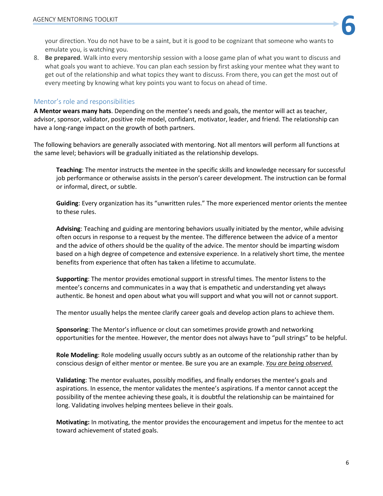AGENCY MENTORING TOOLKIT<br>
your direction. You do not have to be a saint, but it is good to be cognizant that someone who wants to emulate you, is watching you.

8. **Be prepared**. Walk into every mentorship session with a loose game plan of what you want to discuss and what goals you want to achieve. You can plan each session by first asking your mentee what they want to get out of the relationship and what topics they want to discuss. From there, you can get the most out of every meeting by knowing what key points you want to focus on ahead of time.

#### <span id="page-6-0"></span>Mentor's role and responsibilities

**A Mentor wears many hats**. Depending on the mentee's needs and goals, the mentor will act as teacher, advisor, sponsor, validator, positive role model, confidant, motivator, leader, and friend. The relationship can have a long-range impact on the growth of both partners.

The following behaviors are generally associated with mentoring. Not all mentors will perform all functions at the same level; behaviors will be gradually initiated as the relationship develops.

**Teaching**: The mentor instructs the mentee in the specific skills and knowledge necessary for successful job performance or otherwise assists in the person's career development. The instruction can be formal or informal, direct, or subtle.

**Guiding**: Every organization has its "unwritten rules." The more experienced mentor orients the mentee to these rules.

**Advising**: Teaching and guiding are mentoring behaviors usually initiated by the mentor, while advising often occurs in response to a request by the mentee. The difference between the advice of a mentor and the advice of others should be the quality of the advice. The mentor should be imparting wisdom based on a high degree of competence and extensive experience. In a relatively short time, the mentee benefits from experience that often has taken a lifetime to accumulate.

**Supporting**: The mentor provides emotional support in stressful times. The mentor listens to the mentee's concerns and communicates in a way that is empathetic and understanding yet always authentic. Be honest and open about what you will support and what you will not or cannot support.

The mentor usually helps the mentee clarify career goals and develop action plans to achieve them.

**Sponsoring**: The Mentor's influence or clout can sometimes provide growth and networking opportunities for the mentee. However, the mentor does not always have to "pull strings" to be helpful.

**Role Modeling**: Role modeling usually occurs subtly as an outcome of the relationship rather than by conscious design of either mentor or mentee. Be sure you are an example. *You are being observed.*

**Validating**: The mentor evaluates, possibly modifies, and finally endorses the mentee's goals and aspirations. In essence, the mentor validates the mentee's aspirations. If a mentor cannot accept the possibility of the mentee achieving these goals, it is doubtful the relationship can be maintained for long. Validating involves helping mentees believe in their goals.

**Motivating:** In motivating, the mentor provides the encouragement and impetus for the mentee to act toward achievement of stated goals.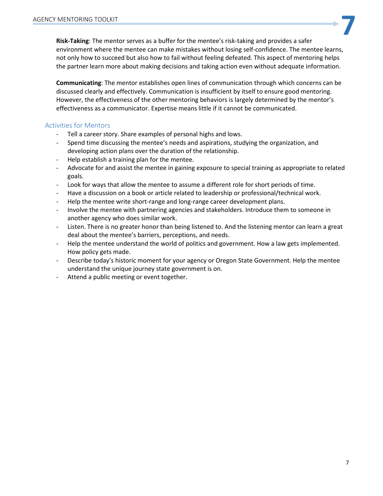**7**<br>**Risk-Taking**: The mentor serves as a buffer for the mentee's risk-taking and provides a safer<br>**Risk-Taking**: The mentor serves as a buffer for the mentee's risk-taking and provides a safer environment where the mentee can make mistakes without losing self-confidence. The mentee learns, not only how to succeed but also how to fail without feeling defeated. This aspect of mentoring helps the partner learn more about making decisions and taking action even without adequate information.

**Communicating**: The mentor establishes open lines of communication through which concerns can be discussed clearly and effectively. Communication is insufficient by itself to ensure good mentoring. However, the effectiveness of the other mentoring behaviors is largely determined by the mentor's effectiveness as a communicator. Expertise means little if it cannot be communicated.

#### <span id="page-7-0"></span>Activities for Mentors

- Tell a career story. Share examples of personal highs and lows.
- Spend time discussing the mentee's needs and aspirations, studying the organization, and developing action plans over the duration of the relationship.
- Help establish a training plan for the mentee.
- Advocate for and assist the mentee in gaining exposure to special training as appropriate to related goals.
- Look for ways that allow the mentee to assume a different role for short periods of time.
- Have a discussion on a book or article related to leadership or professional/technical work.
- Help the mentee write short-range and long-range career development plans.
- Involve the mentee with partnering agencies and stakeholders. Introduce them to someone in another agency who does similar work.
- Listen. There is no greater honor than being listened to. And the listening mentor can learn a great deal about the mentee's barriers, perceptions, and needs.
- Help the mentee understand the world of politics and government. How a law gets implemented. How policy gets made.
- Describe today's historic moment for your agency or Oregon State Government. Help the mentee understand the unique journey state government is on.
- Attend a public meeting or event together.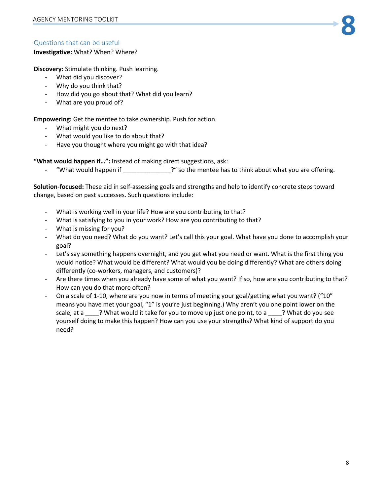# <span id="page-8-0"></span>Questions that can be useful

#### **Investigative:** What? When? Where?

**Discovery:** Stimulate thinking. Push learning.

- What did you discover?
- Why do you think that?
- How did you go about that? What did you learn?
- What are you proud of?

**Empowering:** Get the mentee to take ownership. Push for action.

- What might you do next?
- What would you like to do about that?
- Have you thought where you might go with that idea?

**"What would happen if…":** Instead of making direct suggestions, ask:

"What would happen if  $\cdot$   $\cdot$   $\cdot$   $\cdot$   $\cdot$  so the mentee has to think about what you are offering.

**Solution-focused:** These aid in self-assessing goals and strengths and help to identify concrete steps toward change, based on past successes. Such questions include:

- What is working well in your life? How are you contributing to that?
- What is satisfying to you in your work? How are you contributing to that?
- What is missing for you?
- What do you need? What do you want? Let's call this your goal. What have you done to accomplish your goal?
- Let's say something happens overnight, and you get what you need or want. What is the first thing you would notice? What would be different? What would you be doing differently? What are others doing differently (co-workers, managers, and customers)?
- Are there times when you already have some of what you want? If so, how are you contributing to that? How can you do that more often?
- On a scale of 1-10, where are you now in terms of meeting your goal/getting what you want? ("10" means you have met your goal, "1" is you're just beginning.) Why aren't you one point lower on the scale, at a \_\_\_\_? What would it take for you to move up just one point, to a \_\_\_\_? What do you see yourself doing to make this happen? How can you use your strengths? What kind of support do you need?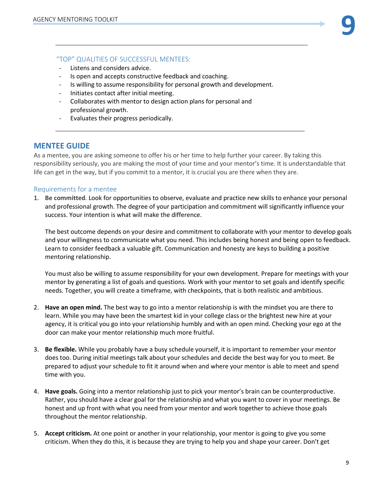#### "TOP" QUALITIES OF SUCCESSFUL MENTEES:

- Listens and considers advice.
- Is open and accepts constructive feedback and coaching.
- Is willing to assume responsibility for personal growth and development.
- Initiates contact after initial meeting.
- Collaborates with mentor to design action plans for personal and professional growth.
- Evaluates their progress periodically.

#### <span id="page-9-0"></span>**MENTEE GUIDE**

As a mentee, you are asking someone to offer his or her time to help further your career. By taking this responsibility seriously, you are making the most of your time and your mentor's time. It is understandable that life can get in the way, but if you commit to a mentor, it is crucial you are there when they are.

#### <span id="page-9-1"></span>Requirements for a mentee

1. **Be committed**. Look for opportunities to observe, evaluate and practice new skills to enhance your personal and professional growth. The degree of your participation and commitment will significantly influence your success. Your intention is what will make the difference.

The best outcome depends on your desire and commitment to collaborate with your mentor to develop goals and your willingness to communicate what you need. This includes being honest and being open to feedback. Learn to consider feedback a valuable gift. Communication and honesty are keys to building a positive mentoring relationship.

You must also be willing to assume responsibility for your own development. Prepare for meetings with your mentor by generating a list of goals and questions. Work with your mentor to set goals and identify specific needs. Together, you will create a timeframe, with checkpoints, that is both realistic and ambitious.

- 2. **Have an open mind.** The best way to go into a mentor relationship is with the mindset you are there to learn. While you may have been the smartest kid in your college class or the brightest new hire at your agency, it is critical you go into your relationship humbly and with an open mind. Checking your ego at the door can make your mentor relationship much more fruitful.
- 3. **Be flexible.** While you probably have a busy schedule yourself, it is important to remember your mentor does too. During initial meetings talk about your schedules and decide the best way for you to meet. Be prepared to adjust your schedule to fit it around when and where your mentor is able to meet and spend time with you.
- 4. **Have goals.** Going into a mentor relationship just to pick your mentor's brain can be counterproductive. Rather, you should have a clear goal for the relationship and what you want to cover in your meetings. Be honest and up front with what you need from your mentor and work together to achieve those goals throughout the mentor relationship.
- 5. **Accept criticism.** At one point or another in your relationship, your mentor is going to give you some criticism. When they do this, it is because they are trying to help you and shape your career. Don't get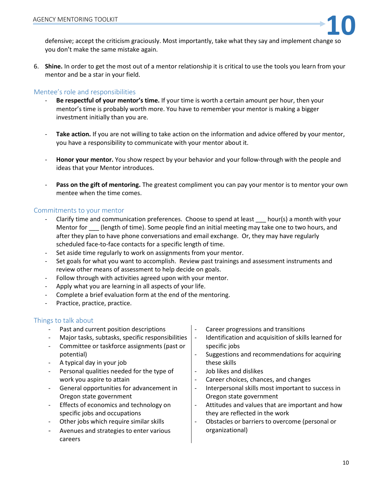

AGENCY MENTORING TOOLKIT<br>defensive; accept the criticism graciously. Most importantly, take what they say and implement change so you don't make the same mistake again.

6. **Shine.** In order to get the most out of a mentor relationship it is critical to use the tools you learn from your mentor and be a star in your field.

#### <span id="page-10-0"></span>Mentee's role and responsibilities

- **Be respectful of your mentor's time.** If your time is worth a certain amount per hour, then your mentor's time is probably worth more. You have to remember your mentor is making a bigger investment initially than you are.
- Take action. If you are not willing to take action on the information and advice offered by your mentor, you have a responsibility to communicate with your mentor about it.
- **Honor your mentor.** You show respect by your behavior and your follow-through with the people and ideas that your Mentor introduces.
- **Pass on the gift of mentoring.** The greatest compliment you can pay your mentor is to mentor your own mentee when the time comes.

#### <span id="page-10-1"></span>Commitments to your mentor

- Clarify time and communication preferences. Choose to spend at least hour(s) a month with your Mentor for **[14]** (length of time). Some people find an initial meeting may take one to two hours, and after they plan to have phone conversations and email exchange. Or, they may have regularly scheduled face-to-face contacts for a specific length of time.
- Set aside time regularly to work on assignments from your mentor.
- Set goals for what you want to accomplish. Review past trainings and assessment instruments and review other means of assessment to help decide on goals.
- Follow through with activities agreed upon with your mentor.
- Apply what you are learning in all aspects of your life.
- Complete a brief evaluation form at the end of the mentoring.
- Practice, practice, practice.

#### <span id="page-10-2"></span>Things to talk about

- Past and current position descriptions
- Major tasks, subtasks, specific responsibilities
- Committee or taskforce assignments (past or potential)
- A typical day in your job
- Personal qualities needed for the type of work you aspire to attain
- General opportunities for advancement in Oregon state government
- Effects of economics and technology on specific jobs and occupations
- Other jobs which require similar skills
- Avenues and strategies to enter various careers
- Career progressions and transitions
- Identification and acquisition of skills learned for specific jobs
- Suggestions and recommendations for acquiring these skills
- Job likes and dislikes
- Career choices, chances, and changes
- Interpersonal skills most important to success in Oregon state government
- Attitudes and values that are important and how they are reflected in the work
- Obstacles or barriers to overcome (personal or organizational)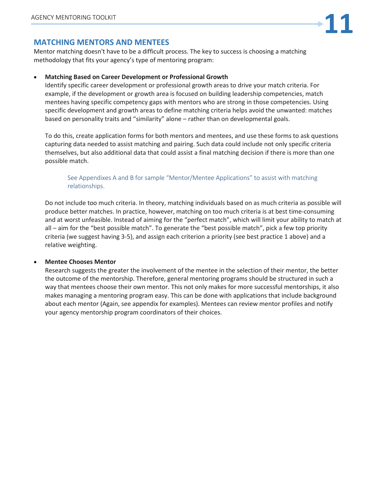# <span id="page-11-0"></span>**MATCHING MENTORS AND MENTEES**

Mentor matching doesn't have to be a difficult process. The key to success is choosing a matching methodology that fits your agency's type of mentoring program:

#### • **Matching Based on Career Development or Professional Growth**

Identify specific career development or professional growth areas to drive your match criteria. For example, if the development or growth area is focused on building leadership competencies, match mentees having specific competency gaps with mentors who are strong in those competencies. Using specific development and growth areas to define matching criteria helps avoid the unwanted: matches based on personality traits and "similarity" alone – rather than on developmental goals.

To do this, create application forms for both mentors and mentees, and use these forms to ask questions capturing data needed to assist matching and pairing. Such data could include not only specific criteria themselves, but also additional data that could assist a final matching decision if there is more than one possible match.

#### See Appendixes A and B for sample "Mentor/Mentee Applications" to assist with matching relationships.

Do not include too much criteria. In theory, matching individuals based on as much criteria as possible will produce better matches. In practice, however, matching on too much criteria is at best time-consuming and at worst unfeasible. Instead of aiming for the "perfect match", which will limit your ability to match at all – aim for the "best possible match". To generate the "best possible match", pick a few top priority criteria (we suggest having 3-5), and assign each criterion a priority (see best practice 1 above) and a relative weighting.

#### • **Mentee Chooses Mentor**

Research suggests the greater the involvement of the mentee in the selection of their mentor, the better the outcome of the mentorship. Therefore, general mentoring programs should be structured in such a way that mentees choose their own mentor. This not only makes for more successful mentorships, it also makes managing a mentoring program easy. This can be done with applications that include background about each mentor (Again, see appendix for examples). Mentees can review mentor profiles and notify your agency mentorship program coordinators of their choices.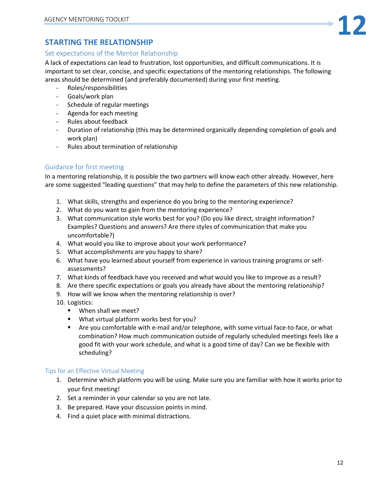# <span id="page-12-0"></span>**STARTING THE RELATIONSHIP**

#### <span id="page-12-1"></span>Set expectations of the Mentor Relationship

A lack of expectations can lead to frustration, lost opportunities, and difficult communications. It is important to set clear, concise, and specific expectations of the mentoring relationships. The following areas should be determined (and preferably documented) during your first meeting.

- Roles/responsibilities
- Goals/work plan
- Schedule of regular meetings
- Agenda for each meeting
- Rules about feedback
- Duration of relationship (this may be determined organically depending completion of goals and work plan)
- Rules about termination of relationship

# <span id="page-12-2"></span>Guidance for first meeting

In a mentoring relationship, it is possible the two partners will know each other already. However, here are some suggested "leading questions" that may help to define the parameters of this new relationship.

- 1. What skills, strengths and experience do you bring to the mentoring experience?
- 2. What do you want to gain from the mentoring experience?
- 3. What communication style works best for you? (Do you like direct, straight information? Examples? Questions and answers? Are there styles of communication that make you uncomfortable?)
- 4. What would you like to improve about your work performance?
- 5. What accomplishments are you happy to share?
- 6. What have you learned about yourself from experience in various training programs or selfassessments?
- 7. What kinds of feedback have you received and what would you like to improve as a result?
- 8. Are there specific expectations or goals you already have about the mentoring relationship?
- 9. How will we know when the mentoring relationship is over?
- 10. Logistics:
	- When shall we meet?
	- What virtual platform works best for you?
	- Are you comfortable with e-mail and/or telephone, with some virtual face-to-face, or what combination? How much communication outside of regularly scheduled meetings feels like a good fit with your work schedule, and what is a good time of day? Can we be flexible with scheduling?

#### Tips for an Effective Virtual Meeting

- 1. Determine which platform you will be using. Make sure you are familiar with how it works prior to your first meeting!
- 2. Set a reminder in your calendar so you are not late.
- 3. Be prepared. Have your discussion points in mind.
- 4. Find a quiet place with minimal distractions.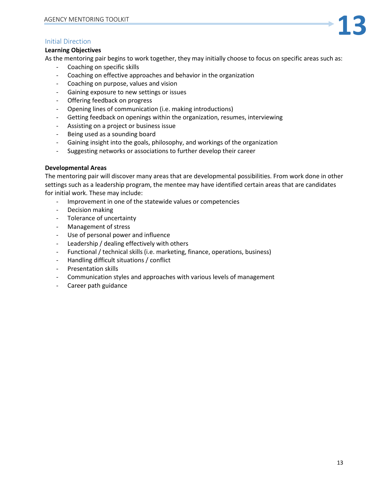# <span id="page-13-0"></span>Initial Direction

#### **Learning Objectives**

As the mentoring pair begins to work together, they may initially choose to focus on specific areas such as:

- Coaching on specific skills
- Coaching on effective approaches and behavior in the organization
- Coaching on purpose, values and vision
- Gaining exposure to new settings or issues
- Offering feedback on progress
- Opening lines of communication (i.e. making introductions)
- Getting feedback on openings within the organization, resumes, interviewing
- Assisting on a project or business issue
- Being used as a sounding board
- Gaining insight into the goals, philosophy, and workings of the organization
- Suggesting networks or associations to further develop their career

#### **Developmental Areas**

The mentoring pair will discover many areas that are developmental possibilities. From work done in other settings such as a leadership program, the mentee may have identified certain areas that are candidates for initial work. These may include:

- Improvement in one of the statewide values or competencies
- Decision making
- Tolerance of uncertainty
- Management of stress
- Use of personal power and influence
- Leadership / dealing effectively with others
- Functional / technical skills (i.e. marketing, finance, operations, business)
- Handling difficult situations / conflict
- Presentation skills
- Communication styles and approaches with various levels of management
- Career path guidance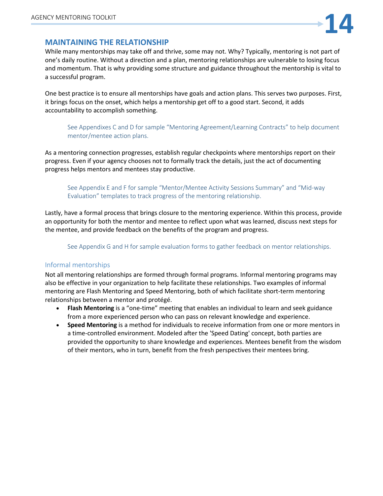

#### <span id="page-14-0"></span>**MAINTAINING THE RELATIONSHIP**

While many mentorships may take off and thrive, some may not. Why? Typically, mentoring is not part of one's daily routine. Without a direction and a plan, mentoring relationships are vulnerable to losing focus and momentum. That is why providing some structure and guidance throughout the mentorship is vital to a successful program.

One best practice is to ensure all mentorships have goals and action plans. This serves two purposes. First, it brings focus on the onset, which helps a mentorship get off to a good start. Second, it adds accountability to accomplish something.

See Appendixes C and D for sample "Mentoring Agreement/Learning Contracts" to help document mentor/mentee action plans.

As a mentoring connection progresses, establish regular checkpoints where mentorships report on their progress. Even if your agency chooses not to formally track the details, just the act of documenting progress helps mentors and mentees stay productive.

See Appendix E and F for sample "Mentor/Mentee Activity Sessions Summary" and "Mid-way Evaluation" templates to track progress of the mentoring relationship.

Lastly, have a formal process that brings closure to the mentoring experience. Within this process, provide an opportunity for both the mentor and mentee to reflect upon what was learned, discuss next steps for the mentee, and provide feedback on the benefits of the program and progress.

See Appendix G and H for sample evaluation forms to gather feedback on mentor relationships.

#### <span id="page-14-1"></span>Informal mentorships

Not all mentoring relationships are formed through formal programs. Informal mentoring programs may also be effective in your organization to help facilitate these relationships. Two examples of informal mentoring are Flash Mentoring and Speed Mentoring, both of which facilitate short-term mentoring relationships between a mentor and protégé.

- **Flash Mentoring** is a "one-time" meeting that enables an individual to learn and seek guidance from a more experienced person who can pass on relevant knowledge and experience.
- **Speed Mentoring** is a method for individuals to receive information from one or more mentors in a time-controlled environment. Modeled after the 'Speed Dating' concept, both parties are provided the opportunity to share knowledge and experiences. Mentees benefit from the wisdom of their mentors, who in turn, benefit from the fresh perspectives their mentees bring.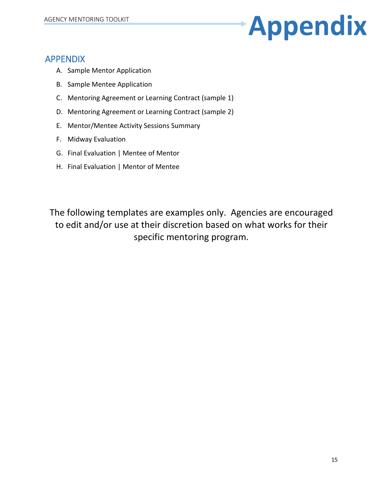# AGENCY MENTORING TOOLKIT

# <span id="page-15-0"></span>APPENDIX

- A. Sample Mentor Application
- B. Sample Mentee Application
- C. Mentoring Agreement or Learning Contract (sample 1)
- D. Mentoring Agreement or Learning Contract (sample 2)
- E. Mentor/Mentee Activity Sessions Summary
- F. Midway Evaluation
- G. Final Evaluation | Mentee of Mentor
- H. Final Evaluation | Mentor of Mentee

The following templates are examples only. Agencies are encouraged to edit and/or use at their discretion based on what works for their specific mentoring program.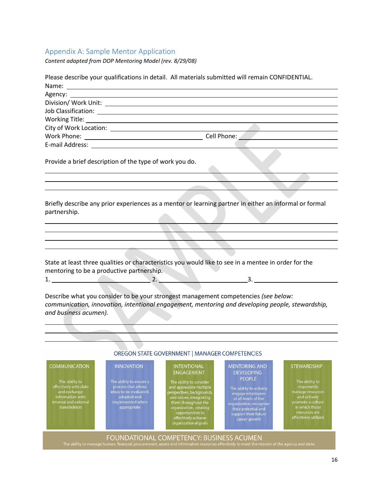# <span id="page-16-0"></span>Appendix A: Sample Mentor Application

*Content adapted from DOP Mentoring Model (rev. 8/29/08)*

|                                                                                                                                               |                                                                                                                                                 | Please describe your qualifications in detail. All materials submitted will remain CONFIDENTIAL.                                                                                                                                                                                                           |                                                                                                                                                                                                                              |                                                                                                                                                                         |
|-----------------------------------------------------------------------------------------------------------------------------------------------|-------------------------------------------------------------------------------------------------------------------------------------------------|------------------------------------------------------------------------------------------------------------------------------------------------------------------------------------------------------------------------------------------------------------------------------------------------------------|------------------------------------------------------------------------------------------------------------------------------------------------------------------------------------------------------------------------------|-------------------------------------------------------------------------------------------------------------------------------------------------------------------------|
|                                                                                                                                               |                                                                                                                                                 |                                                                                                                                                                                                                                                                                                            |                                                                                                                                                                                                                              |                                                                                                                                                                         |
|                                                                                                                                               |                                                                                                                                                 |                                                                                                                                                                                                                                                                                                            |                                                                                                                                                                                                                              |                                                                                                                                                                         |
|                                                                                                                                               |                                                                                                                                                 |                                                                                                                                                                                                                                                                                                            |                                                                                                                                                                                                                              |                                                                                                                                                                         |
|                                                                                                                                               |                                                                                                                                                 | Working Title: <u>Communications</u> Contained by Title Contained by Title Contained by Title Contained by Title Contained by Title Contained by Title Contained by Title Contained by Title Contained by Title Contained by Title                                                                         |                                                                                                                                                                                                                              |                                                                                                                                                                         |
|                                                                                                                                               |                                                                                                                                                 |                                                                                                                                                                                                                                                                                                            |                                                                                                                                                                                                                              |                                                                                                                                                                         |
|                                                                                                                                               |                                                                                                                                                 |                                                                                                                                                                                                                                                                                                            |                                                                                                                                                                                                                              |                                                                                                                                                                         |
|                                                                                                                                               |                                                                                                                                                 |                                                                                                                                                                                                                                                                                                            |                                                                                                                                                                                                                              |                                                                                                                                                                         |
| Provide a brief description of the type of work you do.                                                                                       |                                                                                                                                                 |                                                                                                                                                                                                                                                                                                            |                                                                                                                                                                                                                              |                                                                                                                                                                         |
|                                                                                                                                               |                                                                                                                                                 |                                                                                                                                                                                                                                                                                                            |                                                                                                                                                                                                                              |                                                                                                                                                                         |
| partnership.                                                                                                                                  |                                                                                                                                                 | Briefly describe any prior experiences as a mentor or learning partner in either an informal or formal                                                                                                                                                                                                     |                                                                                                                                                                                                                              |                                                                                                                                                                         |
|                                                                                                                                               |                                                                                                                                                 |                                                                                                                                                                                                                                                                                                            |                                                                                                                                                                                                                              |                                                                                                                                                                         |
|                                                                                                                                               |                                                                                                                                                 |                                                                                                                                                                                                                                                                                                            |                                                                                                                                                                                                                              |                                                                                                                                                                         |
|                                                                                                                                               |                                                                                                                                                 |                                                                                                                                                                                                                                                                                                            |                                                                                                                                                                                                                              |                                                                                                                                                                         |
| mentoring to be a productive partnership.<br>and business acumen).                                                                            |                                                                                                                                                 | State at least three qualities or characteristics you would like to see in a mentee in order for the<br>$1.$ 2.<br>Describe what you consider to be your strongest management competencies (see below:<br>communication, innovation, intentional engagement, mentoring and developing people, stewardship, |                                                                                                                                                                                                                              |                                                                                                                                                                         |
|                                                                                                                                               |                                                                                                                                                 |                                                                                                                                                                                                                                                                                                            |                                                                                                                                                                                                                              |                                                                                                                                                                         |
|                                                                                                                                               |                                                                                                                                                 | OREGON STATE GOVERNMENT   MANAGER COMPETENCIES                                                                                                                                                                                                                                                             |                                                                                                                                                                                                                              |                                                                                                                                                                         |
|                                                                                                                                               |                                                                                                                                                 |                                                                                                                                                                                                                                                                                                            |                                                                                                                                                                                                                              |                                                                                                                                                                         |
| <b>COMMUNICATION</b><br>The ability to<br>effectively articulate<br>and exchange<br>information with<br>internal and external<br>stakeholders | <b>INNOVATION</b><br>The ability to ensure a<br>process that allows<br>ideas to be evaluated,<br>adopted and<br>implemented when<br>appropriate | <b>INTENTIONAL</b><br><b>ENGAGEMENT</b><br>The ability to consider<br>and appreciate multiple<br>perspectives, backgrounds,<br>and values, integrating<br>them throughout the<br>organization, creating<br>opportunities to<br>effectively achieve<br>organizational goals                                 | <b>MENTORING AND</b><br><b>DEVELOPING</b><br><b>PEOPLE</b><br>The ability to actively<br>engage employees<br>at all levels of the<br>organization, recognize<br>their potential and<br>support their future<br>career growth | <b>STEWARDSHIP</b><br>The ability to<br>responsibly<br>manage resources<br>and actively<br>promote a culture<br>in which those<br>resources are<br>effectively utilized |
|                                                                                                                                               |                                                                                                                                                 | FOUNDATIONAL COMPETENCY: BUSINESS ACUMEN<br>The ability to manage human, financial, procurement, assets and information resources effectively to meet the mission of the agency and state.                                                                                                                 |                                                                                                                                                                                                                              |                                                                                                                                                                         |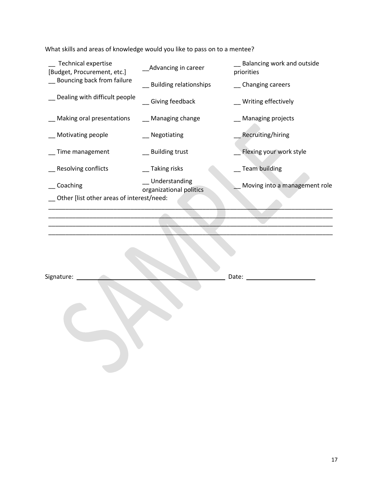What skills and areas of knowledge would you like to pass on to a mentee?

| <b>Technical expertise</b><br>[Budget, Procurement, etc.] | Advancing in career                      | Balancing work and outside<br>priorities |
|-----------------------------------------------------------|------------------------------------------|------------------------------------------|
| Bouncing back from failure                                | <b>Building relationships</b>            | __ Changing careers                      |
| Dealing with difficult people                             | Giving feedback                          | Writing effectively                      |
| Making oral presentations                                 | __ Managing change                       | <b>Managing projects</b>                 |
| Motivating people                                         | Negotiating                              | Recruiting/hiring                        |
| Time management                                           | _ Building trust                         | Flexing your work style                  |
| <b>Resolving conflicts</b>                                | __Taking risks                           | <b>Team building</b>                     |
| Coaching                                                  | Understanding<br>organizational politics | Moving into a management role            |
| Other [list other areas of interest/need:                 |                                          |                                          |

\_\_\_\_\_\_\_\_\_\_\_\_\_\_\_\_\_\_\_\_\_\_\_\_\_\_\_\_\_\_\_\_\_\_\_\_\_\_\_\_\_\_\_\_\_\_\_\_\_\_\_\_\_\_\_\_\_\_\_\_\_\_\_\_\_\_\_\_\_\_\_\_\_\_\_\_\_\_\_\_\_\_\_  $\Box$ \_\_\_\_\_\_\_\_\_\_\_\_\_\_\_\_\_\_\_\_\_\_\_\_\_\_\_\_\_\_\_\_\_\_\_\_\_\_\_\_\_\_\_\_\_\_\_\_\_\_\_\_\_\_\_\_\_\_\_\_\_\_\_\_\_\_\_\_\_\_\_\_\_\_\_\_\_\_\_\_\_\_\_ \_\_\_\_\_\_\_\_\_\_\_\_\_\_\_\_\_\_\_\_\_\_\_\_\_\_\_\_\_\_\_\_\_\_\_\_\_\_\_\_\_\_\_\_\_\_\_\_\_\_\_\_\_\_\_\_\_\_\_\_\_\_\_\_\_\_\_\_\_\_\_\_\_\_\_\_\_\_\_\_\_\_\_

Signature: 2008 Date: 2008 Date: 2008 Date: 2008 Date: 2008 Date: 2008 Date: 2008 Date: 2008 Date: 2008 Date: 2008 Date: 2008 Date: 2008 Date: 2008 Date: 2008 Date: 2008 Date: 2008 Date: 2008 Date: 2008 Date: 2008 Date: 20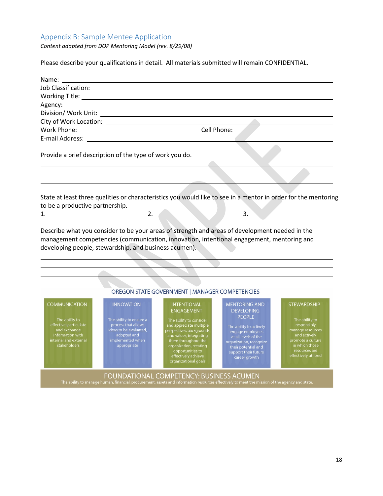# <span id="page-18-0"></span>Appendix B: Sample Mentee Application

*Content adapted from DOP Mentoring Model (rev. 8/29/08)*

Please describe your qualifications in detail. All materials submitted will remain CONFIDENTIAL.

| Provide a brief description of the type of work you do.                                  |  |                                                                                                                                                                                                                                                                                                                                                                                                                                                                                                                                                                                                                                                                                                                                                             |  |  |
|------------------------------------------------------------------------------------------|--|-------------------------------------------------------------------------------------------------------------------------------------------------------------------------------------------------------------------------------------------------------------------------------------------------------------------------------------------------------------------------------------------------------------------------------------------------------------------------------------------------------------------------------------------------------------------------------------------------------------------------------------------------------------------------------------------------------------------------------------------------------------|--|--|
|                                                                                          |  |                                                                                                                                                                                                                                                                                                                                                                                                                                                                                                                                                                                                                                                                                                                                                             |  |  |
|                                                                                          |  | State at least three qualities or characteristics you would like to see in a mentor in order for the mentoring                                                                                                                                                                                                                                                                                                                                                                                                                                                                                                                                                                                                                                              |  |  |
| to be a productive partnership.<br>developing people, stewardship, and business acumen). |  | $2. \underline{\hspace{1.5cm}} \underline{\hspace{1.5cm}} \underline{\hspace{1.5cm}} \underline{\hspace{1.5cm}} \underline{\hspace{1.5cm}} \underline{\hspace{1.5cm}} \underline{\hspace{1.5cm}} \underline{\hspace{1.5cm}} \underline{\hspace{1.5cm}} \underline{\hspace{1.5cm}} \underline{\hspace{1.5cm}} \underline{\hspace{1.5cm}} \underline{\hspace{1.5cm}} \underline{\hspace{1.5cm}} \underline{\hspace{1.5cm}} \underline{\hspace{1.5cm}} \underline{\hspace{1.5cm}} \underline{\hspace{1.5cm}} \underline{\hspace{1.5cm}} \underline{\hspace{1.5$<br>Describe what you consider to be your areas of strength and areas of development needed in the<br>management competencies (communication, innovation, intentional engagement, mentoring and |  |  |
|                                                                                          |  | OREGON STATE GOVERNMENT   MANAGER COMPETENCIES                                                                                                                                                                                                                                                                                                                                                                                                                                                                                                                                                                                                                                                                                                              |  |  |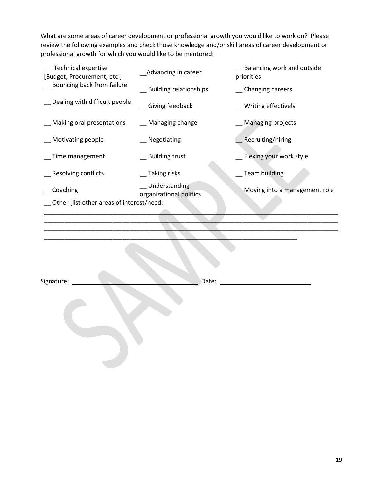What are some areas of career development or professional growth you would like to work on? Please review the following examples and check those knowledge and/or skill areas of career development or professional growth for which you would like to be mentored:

| <b>Technical expertise</b><br>[Budget, Procurement, etc.] | Advancing in career                      | Balancing work and outside<br>priorities |
|-----------------------------------------------------------|------------------------------------------|------------------------------------------|
| Bouncing back from failure                                | Building relationships                   | Changing careers                         |
| Dealing with difficult people                             | Giving feedback                          | Writing effectively                      |
| Making oral presentations                                 | __ Managing change                       | <b>Managing projects</b>                 |
| Motivating people                                         | Negotiating                              | Recruiting/hiring                        |
| Time management                                           | Building trust                           | Flexing your work style                  |
| Resolving conflicts                                       | Taking risks                             | <b>Team building</b>                     |
| Coaching                                                  | Understanding<br>organizational politics | Moving into a management role            |
| Other [list other areas of interest/need:                 |                                          |                                          |
|                                                           |                                          |                                          |
|                                                           |                                          |                                          |

| Signature: | Date: |  |
|------------|-------|--|
|            |       |  |

\_\_\_\_\_\_\_\_\_\_\_\_\_\_\_\_\_\_\_\_\_\_\_\_\_\_\_\_\_\_\_\_\_\_\_\_\_\_\_\_\_\_\_\_\_\_\_\_\_\_\_\_\_\_\_\_\_\_\_\_\_\_\_\_\_\_\_\_\_\_\_\_\_\_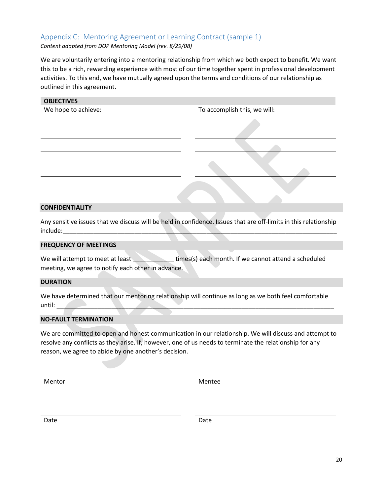# <span id="page-20-0"></span>Appendix C: Mentoring Agreement or Learning Contract (sample 1)

*Content adapted from DOP Mentoring Model (rev. 8/29/08)*

We are voluntarily entering into a mentoring relationship from which we both expect to benefit. We want this to be a rich, rewarding experience with most of our time together spent in professional development activities. To this end, we have mutually agreed upon the terms and conditions of our relationship as outlined in this agreement.

| <b>OBJECTIVES</b>   |                              |
|---------------------|------------------------------|
| We hope to achieve: | To accomplish this, we will: |
|                     |                              |
|                     |                              |
|                     |                              |
|                     |                              |
|                     |                              |
|                     |                              |
|                     |                              |

#### **CONFIDENTIALITY**

Any sensitive issues that we discuss will be held in confidence. Issues that are off-limits in this relationship include:\_\_\_\_\_\_\_\_\_\_\_\_\_\_\_\_\_\_\_\_\_\_\_\_\_\_\_\_\_\_\_\_\_\_\_\_\_\_\_\_\_\_\_\_\_\_\_\_\_\_\_\_\_\_\_\_\_\_\_\_\_\_\_\_\_\_\_\_\_\_\_\_\_\_\_\_\_\_\_\_

#### **FREQUENCY OF MEETINGS**

We will attempt to meet at least the statement of times(s) each month. If we cannot attend a scheduled meeting, we agree to notify each other in advance.

#### **DURATION**

We have determined that our mentoring relationship will continue as long as we both feel comfortable  $until:$ 

#### **NO-FAULT TERMINATION**

We are committed to open and honest communication in our relationship. We will discuss and attempt to resolve any conflicts as they arise. If, however, one of us needs to terminate the relationship for any reason, we agree to abide by one another's decision.

Mentor Mentee

Date **Date** Date **Date** Date **Date**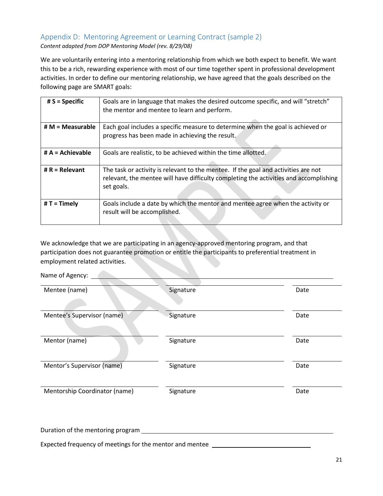# <span id="page-21-0"></span>Appendix D: Mentoring Agreement or Learning Contract (sample 2)

*Content adapted from DOP Mentoring Model (rev. 8/29/08)*

We are voluntarily entering into a mentoring relationship from which we both expect to benefit. We want this to be a rich, rewarding experience with most of our time together spent in professional development activities. In order to define our mentoring relationship, we have agreed that the goals described on the following page are SMART goals:

| $# S = Specific$   | Goals are in language that makes the desired outcome specific, and will "stretch"<br>the mentor and mentee to learn and perform.                                                          |
|--------------------|-------------------------------------------------------------------------------------------------------------------------------------------------------------------------------------------|
| $# M = Measurable$ | Each goal includes a specific measure to determine when the goal is achieved or<br>progress has been made in achieving the result.                                                        |
| $# A =$ Achievable | Goals are realistic, to be achieved within the time allotted.                                                                                                                             |
| # $R =$ Relevant   | The task or activity is relevant to the mentee. If the goal and activities are not<br>relevant, the mentee will have difficulty completing the activities and accomplishing<br>set goals. |
| $#T =$ Timely      | Goals include a date by which the mentor and mentee agree when the activity or<br>result will be accomplished.                                                                            |

We acknowledge that we are participating in an agency-approved mentoring program, and that participation does not guarantee promotion or entitle the participants to preferential treatment in employment related activities.

Name of Agency: <u>Community of Agency</u>

| Mentee (name)                 | Signature | Date |
|-------------------------------|-----------|------|
|                               |           |      |
| Mentee's Supervisor (name)    | Signature | Date |
|                               |           |      |
| Mentor (name)                 | Signature | Date |
|                               |           |      |
| Mentor's Supervisor (name)    | Signature | Date |
|                               |           |      |
| Mentorship Coordinator (name) | Signature | Date |
|                               |           |      |
|                               |           |      |

Duration of the mentoring program Expected frequency of meetings for the mentor and mentee \_\_\_\_\_\_\_\_\_\_\_\_\_\_\_\_\_\_\_\_\_\_\_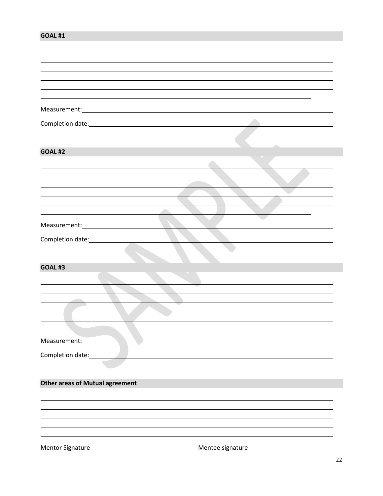#### **GOAL #1**

| Completion date: <u>completion</u> date: |  |
|------------------------------------------|--|
|                                          |  |
| <b>GOAL #2</b>                           |  |
|                                          |  |
|                                          |  |
|                                          |  |
|                                          |  |
|                                          |  |
|                                          |  |
|                                          |  |
|                                          |  |
|                                          |  |
|                                          |  |
| GOAL#3                                   |  |
|                                          |  |
|                                          |  |
|                                          |  |
|                                          |  |
|                                          |  |
|                                          |  |
| Measurement: 1997                        |  |
|                                          |  |
| Completion date:                         |  |
|                                          |  |
| <b>Other areas of Mutual agreement</b>   |  |
|                                          |  |
|                                          |  |
|                                          |  |
|                                          |  |
|                                          |  |
|                                          |  |
|                                          |  |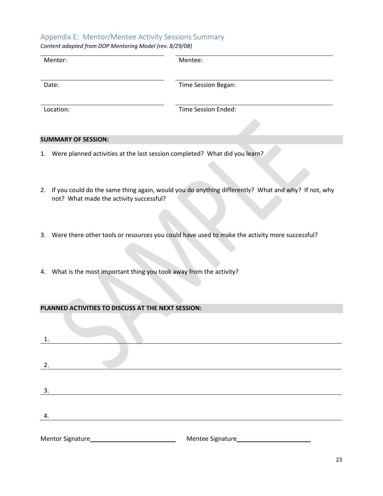#### <span id="page-23-0"></span>Appendix E: Mentor/Mentee Activity Sessions Summary

*Content adapted from DOP Mentoring Model (rev. 8/29/08)*

| Mentor:                                                                          | Mentee:             |
|----------------------------------------------------------------------------------|---------------------|
| Date:                                                                            | Time Session Began: |
| Location:                                                                        | Time Session Ended: |
|                                                                                  |                     |
| <b>SUMMARY OF SESSION:</b>                                                       |                     |
| Were planned activities at the last session completed? What did you learn?<br>1. |                     |

- 2. If you could do the same thing again, would you do anything differently? What and why? If not, why not? What made the activity successful?
- 3. Were there other tools or resources you could have used to make the activity more successful?
- 4. What is the most important thing you took away from the activity?

#### **PLANNED ACTIVITIES TO DISCUSS AT THE NEXT SESSION:**

| 1. |  |
|----|--|
|    |  |
| 2. |  |
|    |  |
|    |  |
| 3. |  |
|    |  |
| 4. |  |
|    |  |
|    |  |
|    |  |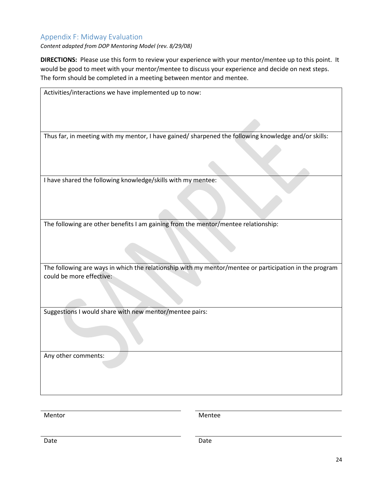# <span id="page-24-0"></span>Appendix F: Midway Evaluation

*Content adapted from DOP Mentoring Model (rev. 8/29/08)*

**DIRECTIONS:** Please use this form to review your experience with your mentor/mentee up to this point. It would be good to meet with your mentor/mentee to discuss your experience and decide on next steps. The form should be completed in a meeting between mentor and mentee.

| Activities/interactions we have implemented up to now:                                                                             |
|------------------------------------------------------------------------------------------------------------------------------------|
|                                                                                                                                    |
|                                                                                                                                    |
| Thus far, in meeting with my mentor, I have gained/ sharpened the following knowledge and/or skills:                               |
|                                                                                                                                    |
|                                                                                                                                    |
|                                                                                                                                    |
| I have shared the following knowledge/skills with my mentee:                                                                       |
|                                                                                                                                    |
|                                                                                                                                    |
|                                                                                                                                    |
| The following are other benefits I am gaining from the mentor/mentee relationship:                                                 |
|                                                                                                                                    |
|                                                                                                                                    |
|                                                                                                                                    |
|                                                                                                                                    |
| The following are ways in which the relationship with my mentor/mentee or participation in the program<br>could be more effective: |
|                                                                                                                                    |
|                                                                                                                                    |
|                                                                                                                                    |
| Suggestions I would share with new mentor/mentee pairs:                                                                            |
|                                                                                                                                    |
|                                                                                                                                    |
|                                                                                                                                    |
|                                                                                                                                    |
| Any other comments:                                                                                                                |
|                                                                                                                                    |
|                                                                                                                                    |
|                                                                                                                                    |

Mentor Mentee

Date **Date** Date **Date** Date **Date**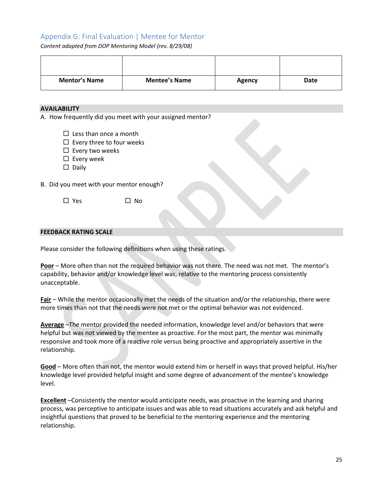# <span id="page-25-0"></span>Appendix G: Final Evaluation | Mentee for Mentor

*Content adapted from DOP Mentoring Model (rev. 8/29/08)*

| <b>Mentor's Name</b> | <b>Mentee's Name</b> | <b>Agency</b> | Date |
|----------------------|----------------------|---------------|------|

#### **AVAILABILITY**

A. How frequently did you meet with your assigned mentor?

- $\Box$  Less than once a month
- $\square$  Every three to four weeks
- $\square$  Every two weeks
- $\square$  Every week
- $\square$  Daily

B. Did you meet with your mentor enough?

 $\Box$  Yes  $\Box$  No

#### **FEEDBACK RATING SCALE**

Please consider the following definitions when using these ratings.

**Poor** – More often than not the required behavior was not there. The need was not met. The mentor's capability, behavior and/or knowledge level was, relative to the mentoring process consistently unacceptable.

**Fair** – While the mentor occasionally met the needs of the situation and/or the relationship, there were more times than not that the needs were not met or the optimal behavior was not evidenced.

**Average** –The mentor provided the needed information, knowledge level and/or behaviors that were helpful but was not viewed by the mentee as proactive. For the most part, the mentor was minimally responsive and took more of a reactive role versus being proactive and appropriately assertive in the relationship.

**Good** – More often than not, the mentor would extend him or herself in ways that proved helpful. His/her knowledge level provided helpful insight and some degree of advancement of the mentee's knowledge level.

**Excellent** –Consistently the mentor would anticipate needs, was proactive in the learning and sharing process, was perceptive to anticipate issues and was able to read situations accurately and ask helpful and insightful questions that proved to be beneficial to the mentoring experience and the mentoring relationship.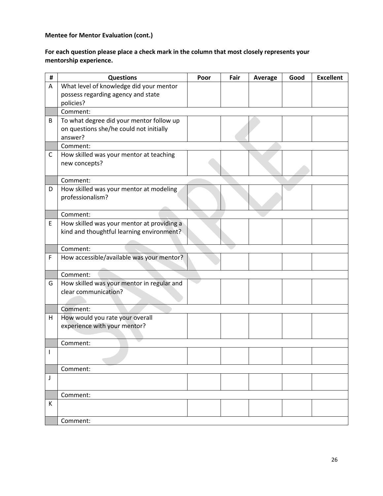# **Mentee for Mentor Evaluation (cont.)**

#### **For each question please place a check mark in the column that most closely represents your mentorship experience.**

| # | <b>Questions</b>                                                   | Poor | Fair | Average | Good | <b>Excellent</b> |
|---|--------------------------------------------------------------------|------|------|---------|------|------------------|
| A | What level of knowledge did your mentor                            |      |      |         |      |                  |
|   | possess regarding agency and state<br>policies?                    |      |      |         |      |                  |
|   | Comment:                                                           |      |      |         |      |                  |
| B | To what degree did your mentor follow up                           |      |      |         |      |                  |
|   | on questions she/he could not initially                            |      |      |         |      |                  |
|   | answer?<br>Comment:                                                |      |      |         |      |                  |
| C | How skilled was your mentor at teaching                            |      |      |         |      |                  |
|   | new concepts?                                                      |      |      |         |      |                  |
|   | Comment:                                                           |      |      |         |      |                  |
| D | How skilled was your mentor at modeling                            |      |      |         |      |                  |
|   | professionalism?                                                   |      |      |         |      |                  |
|   | Comment:                                                           |      |      |         |      |                  |
| E | How skilled was your mentor at providing a                         |      |      |         |      |                  |
|   | kind and thoughtful learning environment?                          |      |      |         |      |                  |
|   | Comment:                                                           |      |      |         |      |                  |
| F | How accessible/available was your mentor?                          |      |      |         |      |                  |
|   |                                                                    |      |      |         |      |                  |
|   | Comment:                                                           |      |      |         |      |                  |
| G | How skilled was your mentor in regular and<br>clear communication? |      |      |         |      |                  |
|   |                                                                    |      |      |         |      |                  |
|   | Comment:                                                           |      |      |         |      |                  |
| H | How would you rate your overall                                    |      |      |         |      |                  |
|   | experience with your mentor?                                       |      |      |         |      |                  |
|   | Comment:                                                           |      |      |         |      |                  |
|   |                                                                    |      |      |         |      |                  |
| л |                                                                    |      |      |         |      |                  |
|   | Comment:                                                           |      |      |         |      |                  |
| J |                                                                    |      |      |         |      |                  |
|   | Comment:                                                           |      |      |         |      |                  |
| К |                                                                    |      |      |         |      |                  |
|   | Comment:                                                           |      |      |         |      |                  |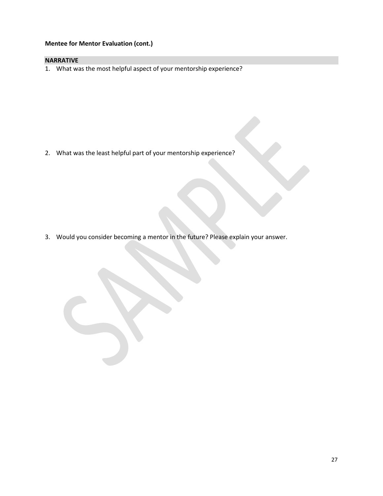# **Mentee for Mentor Evaluation (cont.)**

#### **NARRATIVE**

1. What was the most helpful aspect of your mentorship experience?

2. What was the least helpful part of your mentorship experience?

3. Would you consider becoming a mentor in the future? Please explain your answer.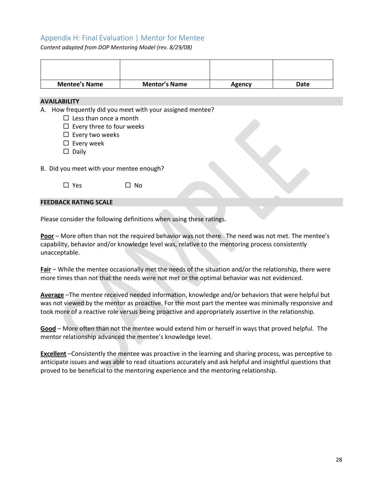# <span id="page-28-0"></span>Appendix H: Final Evaluation | Mentor for Mentee

*Content adapted from DOP Mentoring Model (rev. 8/29/08)*

| <b>Mentee's Name</b> | <b>Mentor's Name</b> | Agency | Date |
|----------------------|----------------------|--------|------|

#### **AVAILABILITY**

A. How frequently did you meet with your assigned mentee?

- $\square$  Less than once a month
- $\square$  Every three to four weeks
- $\square$  Every two weeks
- $\square$  Every week
- $\square$  Daily

B. Did you meet with your mentee enough?

 $\square$  Yes  $\square$  No

#### **FEEDBACK RATING SCALE**

Please consider the following definitions when using these ratings.

**Poor** – More often than not the required behavior was not there. The need was not met. The mentee's capability, behavior and/or knowledge level was, relative to the mentoring process consistently unacceptable.

**Fair** – While the mentee occasionally met the needs of the situation and/or the relationship, there were more times than not that the needs were not met or the optimal behavior was not evidenced.

**Average** –The mentee received needed information, knowledge and/or behaviors that were helpful but was not viewed by the mentor as proactive. For the most part the mentee was minimally responsive and took more of a reactive role versus being proactive and appropriately assertive in the relationship.

**Good** – More often than not the mentee would extend him or herself in ways that proved helpful. The mentor relationship advanced the mentee's knowledge level.

**Excellent** –Consistently the mentee was proactive in the learning and sharing process, was perceptive to anticipate issues and was able to read situations accurately and ask helpful and insightful questions that proved to be beneficial to the mentoring experience and the mentoring relationship.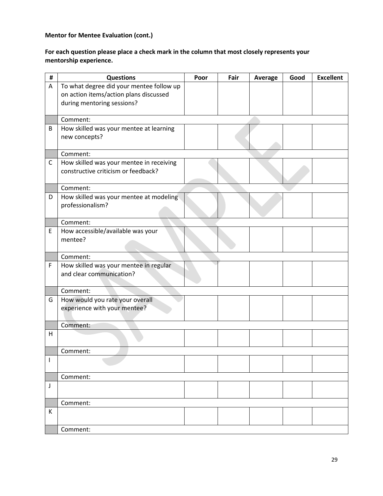# **Mentor for Mentee Evaluation (cont.)**

#### **For each question please place a check mark in the column that most closely represents your mentorship experience.**

| #  | <b>Questions</b>                                                     | Poor | Fair | Average | Good | <b>Excellent</b> |
|----|----------------------------------------------------------------------|------|------|---------|------|------------------|
| A  | To what degree did your mentee follow up                             |      |      |         |      |                  |
|    | on action items/action plans discussed<br>during mentoring sessions? |      |      |         |      |                  |
|    |                                                                      |      |      |         |      |                  |
|    | Comment:                                                             |      |      |         |      |                  |
| B  | How skilled was your mentee at learning                              |      |      |         |      |                  |
|    | new concepts?                                                        |      |      |         |      |                  |
|    | Comment:                                                             |      |      |         |      |                  |
| C  | How skilled was your mentee in receiving                             |      |      |         |      |                  |
|    | constructive criticism or feedback?                                  |      |      |         |      |                  |
|    | Comment:                                                             |      |      |         |      |                  |
| D  | How skilled was your mentee at modeling                              |      |      |         |      |                  |
|    | professionalism?                                                     |      |      |         |      |                  |
|    | Comment:                                                             |      |      |         |      |                  |
| Ε  | How accessible/available was your                                    |      |      |         |      |                  |
|    | mentee?                                                              |      |      |         |      |                  |
|    |                                                                      |      |      |         |      |                  |
|    | Comment:                                                             |      |      |         |      |                  |
| F  | How skilled was your mentee in regular                               |      |      |         |      |                  |
|    | and clear communication?                                             |      |      |         |      |                  |
|    | Comment:                                                             |      |      |         |      |                  |
| G  | How would you rate your overall                                      |      |      |         |      |                  |
|    | experience with your mentee?                                         |      |      |         |      |                  |
|    |                                                                      |      |      |         |      |                  |
| H  | Comment:                                                             |      |      |         |      |                  |
|    |                                                                      |      |      |         |      |                  |
|    | Comment:                                                             |      |      |         |      |                  |
| I. |                                                                      |      |      |         |      |                  |
|    | Comment:                                                             |      |      |         |      |                  |
| J  |                                                                      |      |      |         |      |                  |
|    |                                                                      |      |      |         |      |                  |
|    | Comment:                                                             |      |      |         |      |                  |
| К  |                                                                      |      |      |         |      |                  |
|    | Comment:                                                             |      |      |         |      |                  |